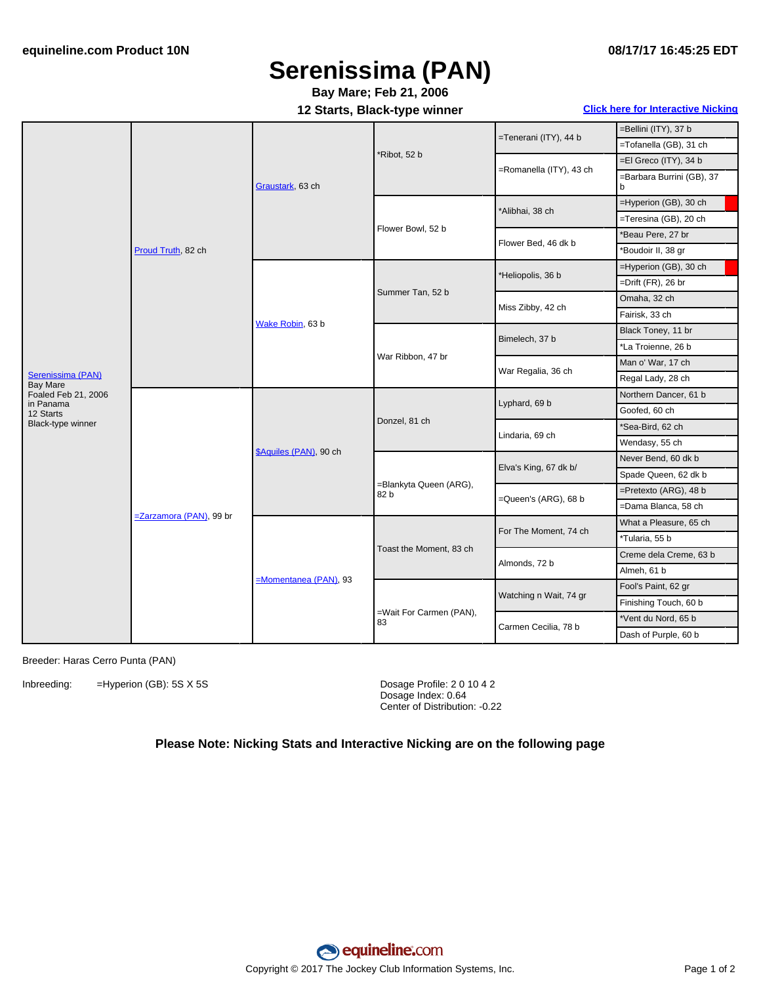## **Serenissima (PAN)**

## **Bay Mare; Feb 21, 2006**

**12 Starts, Black-type winner Click here for [Interactive](#page-1-0) Nicking**

| Serenissima (PAN)<br><b>Bay Mare</b><br>Foaled Feb 21, 2006<br>in Panama<br>12 Starts<br>Black-type winner | Proud Truth, 82 ch      | Graustark, 63 ch        | *Ribot, 52 b                   | =Tenerani (ITY), 44 b   | =Bellini (ITY), 37 b           |
|------------------------------------------------------------------------------------------------------------|-------------------------|-------------------------|--------------------------------|-------------------------|--------------------------------|
|                                                                                                            |                         |                         |                                |                         | =Tofanella (GB), 31 ch         |
|                                                                                                            |                         |                         |                                | =Romanella (ITY), 43 ch | =El Greco (ITY), 34 b          |
|                                                                                                            |                         |                         |                                |                         | =Barbara Burrini (GB), 37<br>b |
|                                                                                                            |                         |                         | Flower Bowl, 52 b              | *Alibhai, 38 ch         | =Hyperion (GB), 30 ch          |
|                                                                                                            |                         |                         |                                |                         | =Teresina (GB), 20 ch          |
|                                                                                                            |                         |                         |                                | Flower Bed, 46 dk b     | *Beau Pere, 27 br              |
|                                                                                                            |                         |                         |                                |                         | *Boudoir II, 38 gr             |
|                                                                                                            |                         | Wake Robin, 63 b        | Summer Tan, 52 b               | *Heliopolis, 36 b       | =Hyperion (GB), 30 ch          |
|                                                                                                            |                         |                         |                                |                         | =Drift (FR), 26 br             |
|                                                                                                            |                         |                         |                                | Miss Zibby, 42 ch       | Omaha, 32 ch                   |
|                                                                                                            |                         |                         |                                |                         | Fairisk, 33 ch                 |
|                                                                                                            |                         |                         | War Ribbon, 47 br              | Bimelech, 37 b          | Black Toney, 11 br             |
|                                                                                                            |                         |                         |                                |                         | *La Troienne, 26 b             |
|                                                                                                            |                         |                         |                                | War Regalia, 36 ch      | Man o' War, 17 ch              |
|                                                                                                            |                         |                         |                                |                         | Regal Lady, 28 ch              |
|                                                                                                            | =Zarzamora (PAN), 99 br | \$Aquiles (PAN), 90 ch  | Donzel, 81 ch                  | Lyphard, 69 b           | Northern Dancer, 61 b          |
|                                                                                                            |                         |                         |                                |                         | Goofed, 60 ch                  |
|                                                                                                            |                         |                         |                                | Lindaria, 69 ch         | *Sea-Bird, 62 ch               |
|                                                                                                            |                         |                         |                                |                         | Wendasy, 55 ch                 |
|                                                                                                            |                         |                         | =Blankyta Queen (ARG),<br>82 b | Elva's King, 67 dk b/   | Never Bend, 60 dk b            |
|                                                                                                            |                         |                         |                                |                         | Spade Queen, 62 dk b           |
|                                                                                                            |                         |                         |                                | =Queen's (ARG), 68 b    | $=$ Pretexto (ARG), 48 b       |
|                                                                                                            |                         |                         |                                |                         | =Dama Blanca, 58 ch            |
|                                                                                                            |                         | $M$ omentanea (PAN), 93 | Toast the Moment, 83 ch        | For The Moment, 74 ch   | What a Pleasure, 65 ch         |
|                                                                                                            |                         |                         |                                |                         | *Tularia, 55 b                 |
|                                                                                                            |                         |                         |                                | Almonds, 72 b           | Creme dela Creme, 63 b         |
|                                                                                                            |                         |                         |                                |                         | Almeh, 61 b                    |
|                                                                                                            |                         |                         | =Wait For Carmen (PAN),<br>83  | Watching n Wait, 74 gr  | Fool's Paint, 62 gr            |
|                                                                                                            |                         |                         |                                |                         | Finishing Touch, 60 b          |
|                                                                                                            |                         |                         |                                | Carmen Cecilia, 78 b    | *Vent du Nord, 65 b            |
|                                                                                                            |                         |                         |                                |                         | Dash of Purple, 60 b           |

Breeder: Haras Cerro Punta (PAN)

Inbreeding: =Hyperion (GB): 5S X 5S Dosage Profile: 2 0 10 4 2

Dosage Index: 0.64 Center of Distribution: -0.22

#### **Please Note: Nicking Stats and Interactive Nicking are on the following page**